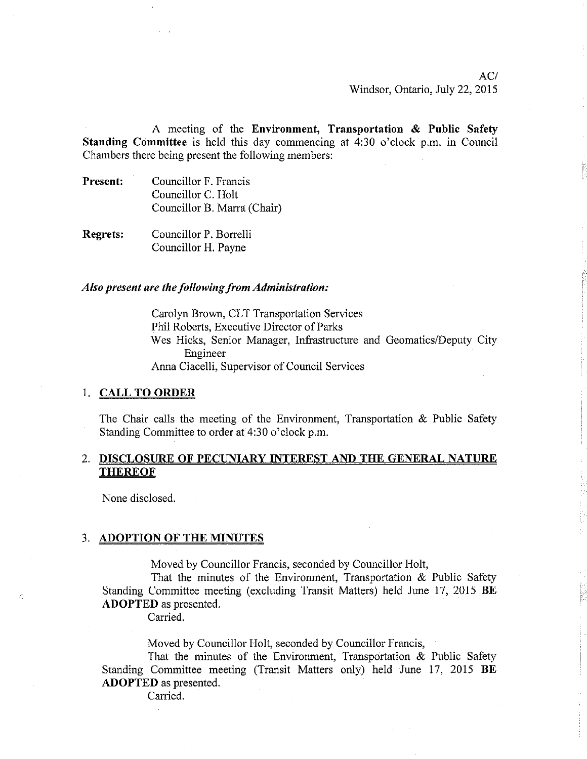$AC/$ Windsor, Ontario, July 22, 2015

A meeting of the Environment, Transportation & Public Safety Standing Committee is held this day commencing at 4:30 o'clock p.m. in Council Chambers there being present the following members:

- Present: Councillor F. Francis Councillor C. Holt Councillor B. Marra (Chair)
- Regrets: Councillor P. Borrelli Councillor H. Pavne

### AIso present are the following from Administration:

Carolyn Brown, CLT Transportation Services Phil Roberts, Executive Director of Parks Wes Hicks, Senior Manager, Infrastructure and Geomatics/Deputy City Engineer Anna Ciacelli, Supervisor of Council Services

### 1. CALL TO ORDER

The Chair calls the meeting of the Environment, Transportation & Public Safety Standing Committee to order at 4:30 o'clock p.m.

## 2. DISCLOSURE OF PECUNIARY INTEREST AND THE GENERAL NATURE **THEREOF**

None disclosed.

n

#### 3. ADOPTION OF THE MINUTES

Moved by Councillor Francis, seconded by Councillor Holt,

That the minutes of the Environment, Transportation & Public Safety Standing Committee meeting (excluding 'l'ransit Matters) held June 17, 2015 BE ADOPTED as presented.

Carried.

Moved by Councillor Holt, seconded by Councillor Francis,

That the minutes of the Environment, Transportation  $\&$  Public Safety Standing Committee meeting (Transit Matters only) held June 17, 2015 BE ADOPTED as presented.

Carried.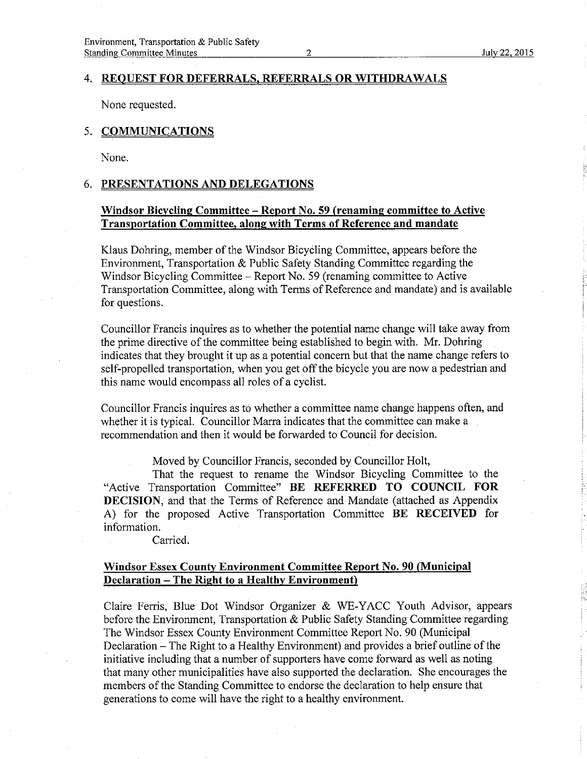## 4. REOUEST FOR DEFERRALS. REFERRALS OR WITHDRAWALS

None requested.

### 5. COMMUNICATIONS

None.

### 6. PRESENTATIONS AND DELEGATIONS

# Windsor Bicycline Committee - Report No. 59 (renamine committee to Active Transportation Committee. along with Terms of Reference and mandate

Klaus Dohring, member of the Windsor Bicycling Committee, appears before the Environment, Transportation & Public Safety Standing Committee regarding the Windsor Bicycling Committee - Report No. 59 (renaming committee to Active Transportation Committee, along with Terms of Reference and mandate) and is available for questions.

Councillor Francis inquires as to whether the potential name change will take away from the prime directive of the committee being established to begin with. Mr. Dohring indicates that they brought it up as a potential concem but that the name change refers to self-propelled transportation, when you get off the bicycle you are now a pedestrian and this name would encompass al1 roles of a cyclist.

Councillor Francis inquires as to whether a committee name change happens often, and whether it is typical. Councillor Marra indicates that the committee can make a recommendation and then it would be forwarded to Council for decision.

Moved by Councillor Francis, seconded by Councillor Holt,

That the request to rename the Windsor Bicycling Committee to the "Active Transportation Committee" BE REFERRED TO COUNCIL FOR DECISION, and that the Terms of Reference and Mandate (attached as Appendix A) for the proposed Active Transportation Committee BE RECEIVED for information.

Carried.

# Windsor Essex Counfy Environment Committee Report No. 90 (Municipal Declaration - The Right to a Healthy Environment)

Claire Ferris, Blue Dot Windsor Organizet & WE-YACC Youth Advisor, appears before the Environment, Transportation & Public Safety Standing Committee regarding The Windsor Essex County Environment Committee Report No. 90 (Municipal Declaration - The Right to a Healthy Environment) and provides a brief outline of the initiative including that a number of supporters have come forward as well as noting that many other municipalities have also supported the declaration. She encourages the members of the Standing Committee to endorse the declaration to help ensure that generations to come will have the right to a healthy environment.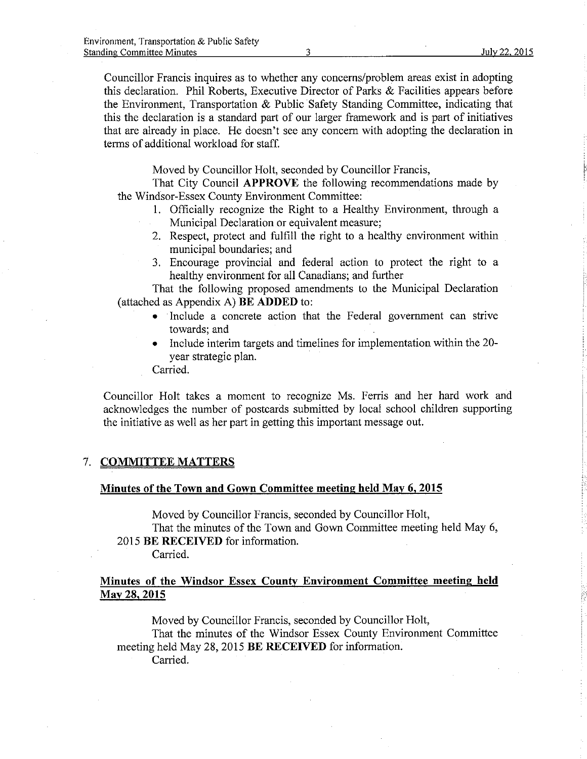Councillor Francis inquires as to whether any concems/problem areas exist in adopting this declaration. Phil Roberts, Executive Director of Parks & Facilities appears before the Environment, Transportation & Public Safety Standing Committee, indicating that this the declaration is a standard part of our larger framework and is part of initiatives that are already in place. He doesn't see any concem with adopting the declaration in terms of additional workload for staff.

Moved by Councillor Holt, seconded by Councillor Francis,

That City Council APPROVE the following recommendations made by the Windsor-Essex County Environment Committee:

- 1. Offrcially recognize the Right to a Healthy Environment, through <sup>a</sup> Municipal Declaration or equivalent measure;
- 2. Respect, protect and fulfill the right to a healthy environment within municipal boundaries; and
- 3. Encourage provincial and federal action to protect the right to <sup>a</sup> healthy environment for all Canadians; and further

That the following proposed amendments to the Municipal Declaration (attached as Appendix A) BE ADDED to:

- Include a concrete action that the Federal government can strive towards; and
- Include interim targets and timelines for implementation within the 20year strategic plan.

Carried.

Councillor Holt takes a moment to recognize Ms. Ferris and her hard work and acknowledges the number of postcards submitted by local school children supporting the initiative as well as her part in getting this important message out.

## 7. COMMITTEE MATTERS

## Minutes of the Town and Gown Committee meeting held May 6, 2015

Moved by Councillor Francis, seconded by Councillor Holt,

That the minutes of the Town and Gown Committee meeting held May 6, 2015 BE RECEIVED for information.

Carried.

# Minutes of the Windsor Essex County Environment Committee meeting held May 28.2015

Moved by Councillor Francis, seconded by Councillor Holt, That the minutes of the Windsor Essex County Environment Committee meeting held May 28,2015 BE RECEIVED for information.

Carried.